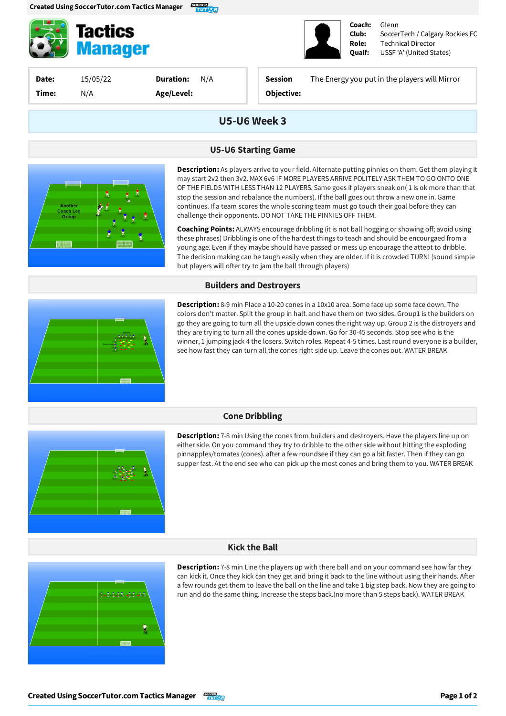

**Tactics Manager** 

**Date:** 15/05/22 **Time:** N/A

**Duration:** N/A **Age/Level:**

**Session** The Energyyou putin the players will Mirror

**Coach: Club: Role: Qualf:**

Glenn

Technical Director USSF'A' (United States)

SoccerTech / Calgary Rockies FC

**Objective:**

# **U5-U6Week 3**

### **U5-U6 Starting Game**



**Description:** As players arrive to your field. Alternate putting pinnies on them. Get them playing it may start 2v2 then 3v2. MAX 6v6 IF MORE PLAYERS ARRIVE POLITELY ASK THEM TO GO ONTO ONE OF THE FIELDS WITH LESS THAN 12 PLAYERS. Same goes if players sneak on(1 is ok more than that stop the session and rebalance the numbers). If the ball goes out throw a new one in. Game continues. If a team scores the whole scoring team must go touch their goal before they can challenge their opponents. DO NOT TAKE THE PINNIES OFF THEM.

**Coaching Points:** ALWAYS encourage dribbling (it is not ball hogging or showing off; avoid using these phrases) Dribbling is one of the hardest things to teach and should be encourgaed from a young age. Even if they maybe should have passed or mess up encourage the attept to dribble. The decision making can be taugh easily when they are older. If it is crowded TURN! (sound simple but players will ofter try to jam the ball through players)

#### **Builders and Destroyers**



**Description:** 8-9 min Place a 10-20 cones in a 10x10 area. Some face up some face down. The colors don't matter. Split the group in half. and have them on two sides. Group1 is the builders on go they are going to turn all the upside down cones the right way up. Group 2 is the distroyers and they are trying to turn all the cones upside down. Go for 30-45 seconds. Stop see who is the winner, 1 jumping jack 4 the losers. Switch roles. Repeat 4-5 times. Last round everyone is a builder, see how fast they can turn all the cones right side up. Leave the cones out. WATER BREAK

## **Cone Dribbling**



**Description:** 7-8 min Using the cones from builders and destroyers. Have the players line up on either side. On you command they try to dribble to the other side without hitting the exploding pinnapples/tomates (cones). after a few roundsee if they can go a bit faster. Then if they can go supper fast. At the end see who can pick up the most cones and bring them to you. WATER BREAK

## **Kick the Ball**



**Description:** 7-8 min Line the players up with there ball and on your command see how far they can kick it. Once they kick can they get and bring it back to the line without using their hands. After a few rounds get them to leave the ball on the line and take 1 big step back. Now they are going to run and do the same thing. Increase the steps back.(no more than 5 steps back). WATER BREAK